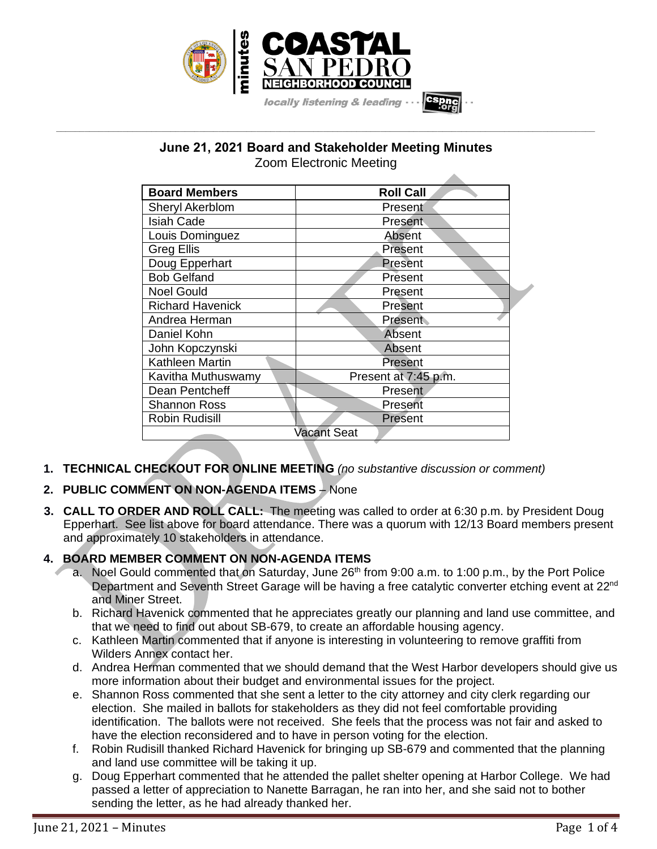

### **June 21, 2021 Board and Stakeholder Meeting Minutes** Zoom Electronic Meeting

**\_\_\_\_\_\_\_\_\_\_\_\_\_\_\_\_\_\_\_\_\_\_\_\_\_\_\_\_\_\_\_\_\_\_\_\_\_\_\_\_\_\_\_\_\_\_\_\_\_\_\_\_\_\_\_\_\_\_\_\_\_\_\_\_\_\_\_\_\_\_\_\_\_\_\_\_\_\_\_\_\_\_\_\_\_\_\_\_\_\_\_\_\_\_\_\_\_\_\_\_\_\_\_\_\_\_\_\_\_\_\_\_\_**

- **1. TECHNICAL CHECKOUT FOR ONLINE MEETING** *(no substantive discussion or comment)*
- **2. PUBLIC COMMENT ON NON-AGENDA ITEMS** None
- **3. CALL TO ORDER AND ROLL CALL:** The meeting was called to order at 6:30 p.m. by President Doug Epperhart. See list above for board attendance. There was a quorum with 12/13 Board members present and approximately 10 stakeholders in attendance.

### **4. BOARD MEMBER COMMENT ON NON-AGENDA ITEMS**

- a. Noel Gould commented that on Saturday, June 26<sup>th</sup> from 9:00 a.m. to 1:00 p.m., by the Port Police Department and Seventh Street Garage will be having a free catalytic converter etching event at 22<sup>nd</sup> and Miner Street.
- b. Richard Havenick commented that he appreciates greatly our planning and land use committee, and that we need to find out about SB-679, to create an affordable housing agency.
- c. Kathleen Martin commented that if anyone is interesting in volunteering to remove graffiti from Wilders Annex contact her.
- d. Andrea Herman commented that we should demand that the West Harbor developers should give us more information about their budget and environmental issues for the project.
- e. Shannon Ross commented that she sent a letter to the city attorney and city clerk regarding our election. She mailed in ballots for stakeholders as they did not feel comfortable providing identification. The ballots were not received. She feels that the process was not fair and asked to have the election reconsidered and to have in person voting for the election.
- f. Robin Rudisill thanked Richard Havenick for bringing up SB-679 and commented that the planning and land use committee will be taking it up.
- g. Doug Epperhart commented that he attended the pallet shelter opening at Harbor College. We had passed a letter of appreciation to Nanette Barragan, he ran into her, and she said not to bother sending the letter, as he had already thanked her.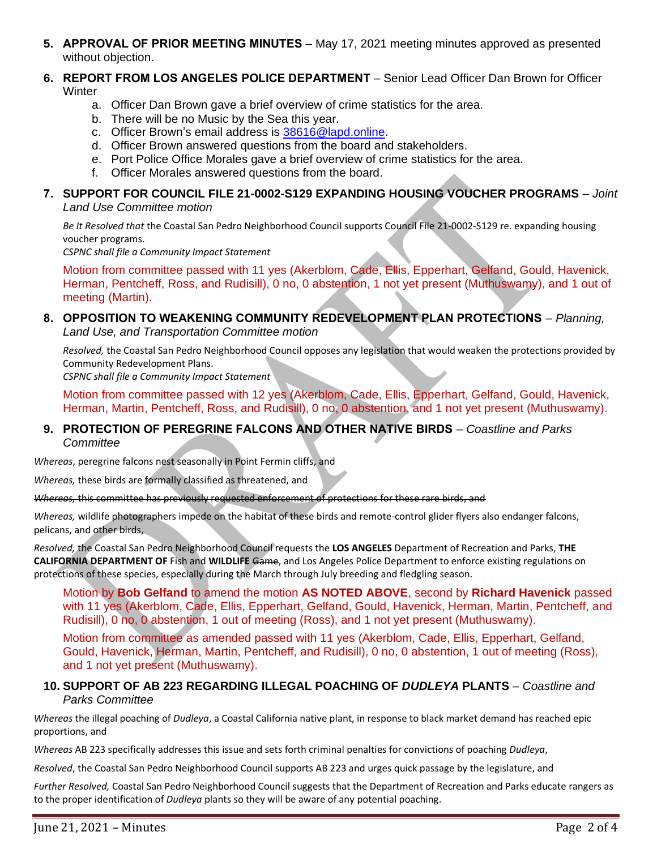**5. APPROVAL OF PRIOR MEETING MINUTES** – May 17, 2021 meeting minutes approved as presented without objection.

#### **6. REPORT FROM LOS ANGELES POLICE DEPARTMENT** – Senior Lead Officer Dan Brown for Officer **Winter**

- a. Officer Dan Brown gave a brief overview of crime statistics for the area.
- b. There will be no Music by the Sea this year.
- c. Officer Brown's email address is [38616@lapd.online.](mailto:38616@lapd.online)
- d. Officer Brown answered questions from the board and stakeholders.
- e. Port Police Office Morales gave a brief overview of crime statistics for the area.
- f. Officer Morales answered questions from the board.

#### **7. SUPPORT FOR COUNCIL FILE 21-0002-S129 EXPANDING HOUSING VOUCHER PROGRAMS** – *Joint Land Use Committee motion*

*Be It Resolved that* the Coastal San Pedro Neighborhood Council supports Council File 21-0002-S129 re. expanding housing voucher programs.

*CSPNC shall file a Community Impact Statement*

Motion from committee passed with 11 yes (Akerblom, Cade, Ellis, Epperhart, Gelfand, Gould, Havenick, Herman, Pentcheff, Ross, and Rudisill), 0 no, 0 abstention, 1 not yet present (Muthuswamy), and 1 out of meeting (Martin).

# **8. OPPOSITION TO WEAKENING COMMUNITY REDEVELOPMENT PLAN PROTECTIONS** – *Planning,*

*Land Use, and Transportation Committee motion*

*Resolved,* the Coastal San Pedro Neighborhood Council opposes any legislation that would weaken the protections provided by Community Redevelopment Plans.

*CSPNC shall file a Community Impact Statement*

Motion from committee passed with 12 yes (Akerblom, Cade, Ellis, Epperhart, Gelfand, Gould, Havenick, Herman, Martin, Pentcheff, Ross, and Rudisill), 0 no, 0 abstention, and 1 not yet present (Muthuswamy).

#### **9. PROTECTION OF PEREGRINE FALCONS AND OTHER NATIVE BIRDS** – *Coastline and Parks Committee*

*Whereas*, peregrine falcons nest seasonally in Point Fermin cliffs, and

*Whereas,* these birds are formally classified as threatened, and

#### *Whereas,* this committee has previously requested enforcement of protections for these rare birds, and

*Whereas,* wildlife photographers impede on the habitat of these birds and remote-control glider flyers also endanger falcons, pelicans, and other birds,

*Resolved,* the Coastal San Pedro Neighborhood Council requests the **LOS ANGELES** Department of Recreation and Parks, **THE CALIFORNIA DEPARTMENT OF** Fish and **WILDLIFE** Game, and Los Angeles Police Department to enforce existing regulations on protections of these species, especially during the March through July breeding and fledgling season.

Motion by **Bob Gelfand** to amend the motion **AS NOTED ABOVE**, second by **Richard Havenick** passed with 11 yes (Akerblom, Cade, Ellis, Epperhart, Gelfand, Gould, Havenick, Herman, Martin, Pentcheff, and Rudisill), 0 no, 0 abstention, 1 out of meeting (Ross), and 1 not yet present (Muthuswamy).

Motion from committee as amended passed with 11 yes (Akerblom, Cade, Ellis, Epperhart, Gelfand, Gould, Havenick, Herman, Martin, Pentcheff, and Rudisill), 0 no, 0 abstention, 1 out of meeting (Ross), and 1 not yet present (Muthuswamy).

#### **10. SUPPORT OF AB 223 REGARDING ILLEGAL POACHING OF** *DUDLEYA* **PLANTS** – *Coastline and Parks Committee*

*Whereas* the illegal poaching of *Dudleya*, a Coastal California native plant, in response to black market demand has reached epic proportions, and

*Whereas* AB 223 specifically addresses this issue and sets forth criminal penalties for convictions of poaching *Dudleya*,

*Resolved*, the Coastal San Pedro Neighborhood Council supports AB 223 and urges quick passage by the legislature, and

*Further Resolved,* Coastal San Pedro Neighborhood Council suggests that the Department of Recreation and Parks educate rangers as to the proper identification of *Dudleya* plants so they will be aware of any potential poaching.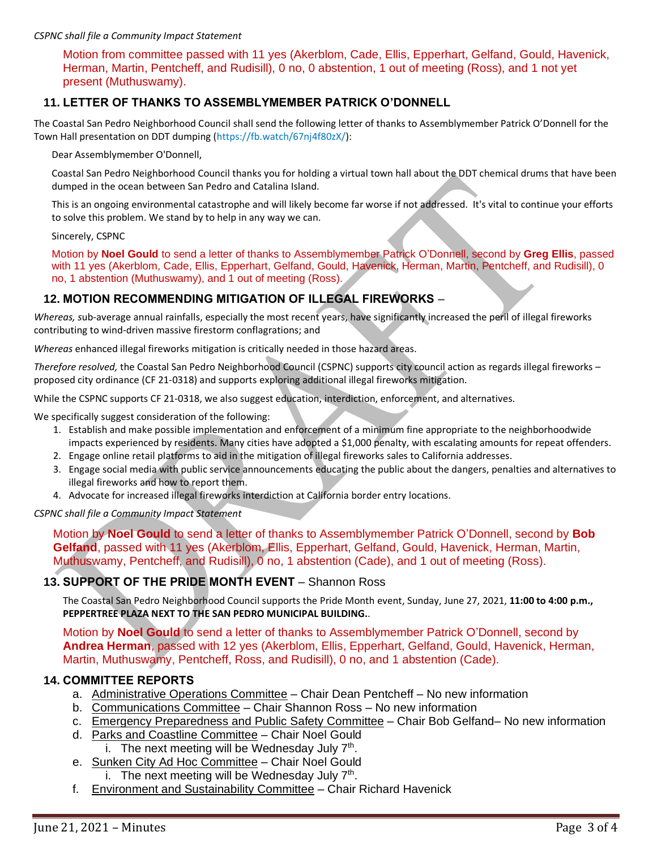#### *CSPNC shall file a Community Impact Statement*

Motion from committee passed with 11 yes (Akerblom, Cade, Ellis, Epperhart, Gelfand, Gould, Havenick, Herman, Martin, Pentcheff, and Rudisill), 0 no, 0 abstention, 1 out of meeting (Ross), and 1 not yet present (Muthuswamy).

#### **11. LETTER OF THANKS TO ASSEMBLYMEMBER PATRICK O'DONNELL**

The Coastal San Pedro Neighborhood Council shall send the following letter of thanks to Assemblymember Patrick O'Donnell for the Town Hall presentation on DDT dumping [\(https://fb.watch/67nj4f80zX/\)](https://t.co/xU3xx7DdXa?amp=1):

Dear Assemblymember O'Donnell,

Coastal San Pedro Neighborhood Council thanks you for holding a virtual town hall about the DDT chemical drums that have been dumped in the ocean between San Pedro and Catalina Island.

This is an ongoing environmental catastrophe and will likely become far worse if not addressed. It's vital to continue your efforts to solve this problem. We stand by to help in any way we can.

#### Sincerely, CSPNC

Motion by **Noel Gould** to send a letter of thanks to Assemblymember Patrick O'Donnell, second by **Greg Ellis**, passed with 11 yes (Akerblom, Cade, Ellis, Epperhart, Gelfand, Gould, Havenick, Herman, Martin, Pentcheff, and Rudisill), 0 no, 1 abstention (Muthuswamy), and 1 out of meeting (Ross).

### **12. MOTION RECOMMENDING MITIGATION OF ILLEGAL FIREWORKS** –

*Whereas, s*ub-average annual rainfalls, especially the most recent years, have significantly increased the peril of illegal fireworks contributing to wind-driven massive firestorm conflagrations; and

*Whereas* enhanced illegal fireworks mitigation is critically needed in those hazard areas.

*Therefore resolved,* the Coastal San Pedro Neighborhood Council (CSPNC) supports city council action as regards illegal fireworks – proposed city ordinance (CF 21-0318) and supports exploring additional illegal fireworks mitigation.

While the CSPNC supports CF 21-0318, we also suggest education, interdiction, enforcement, and alternatives.

We specifically suggest consideration of the following:

- 1. Establish and make possible implementation and enforcement of a minimum fine appropriate to the neighborhoodwide impacts experienced by residents. Many cities have adopted a \$1,000 penalty, with escalating amounts for repeat offenders.
- 2. Engage online retail platforms to aid in the mitigation of illegal fireworks sales to California addresses.
- 3. Engage social media with public service announcements educating the public about the dangers, penalties and alternatives to illegal fireworks and how to report them.
- 4. Advocate for increased illegal fireworks interdiction at California border entry locations.

*CSPNC shall file a Community Impact Statement*

Motion by **Noel Gould** to send a letter of thanks to Assemblymember Patrick O'Donnell, second by **Bob Gelfand**, passed with 11 yes (Akerblom, Ellis, Epperhart, Gelfand, Gould, Havenick, Herman, Martin, Muthuswamy, Pentcheff, and Rudisill), 0 no, 1 abstention (Cade), and 1 out of meeting (Ross).

#### **13. SUPPORT OF THE PRIDE MONTH EVENT** – Shannon Ross

The Coastal San Pedro Neighborhood Council supports the Pride Month event, Sunday, June 27, 2021, **11:00 to 4:00 p.m., PEPPERTREE PLAZA NEXT TO THE SAN PEDRO MUNICIPAL BUILDING.**.

Motion by **Noel Gould** to send a letter of thanks to Assemblymember Patrick O'Donnell, second by **Andrea Herman**, passed with 12 yes (Akerblom, Ellis, Epperhart, Gelfand, Gould, Havenick, Herman, Martin, Muthuswamy, Pentcheff, Ross, and Rudisill), 0 no, and 1 abstention (Cade).

#### **14. COMMITTEE REPORTS**

- a. Administrative Operations Committee Chair Dean Pentcheff No new information
- b. Communications Committee Chair Shannon Ross No new information
- c. Emergency Preparedness and Public Safety Committee Chair Bob Gelfand– No new information
- d. Parks and Coastline Committee Chair Noel Gould i. The next meeting will be Wednesday July  $7<sup>th</sup>$ .
- e. Sunken City Ad Hoc Committee Chair Noel Gould i. The next meeting will be Wednesday July  $7<sup>th</sup>$ .
- f. Environment and Sustainability Committee Chair Richard Havenick